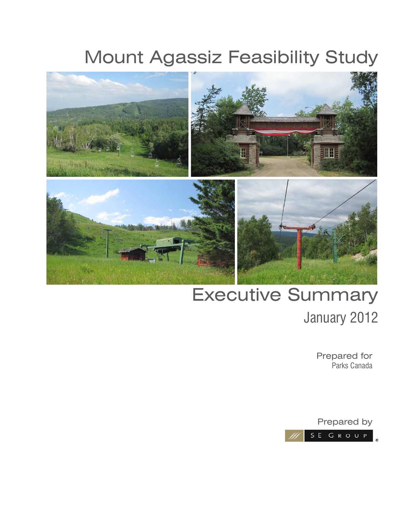# Mount Agassiz Feasibility Study



# Executive Summary January 2012

Prepared for Parks Canada

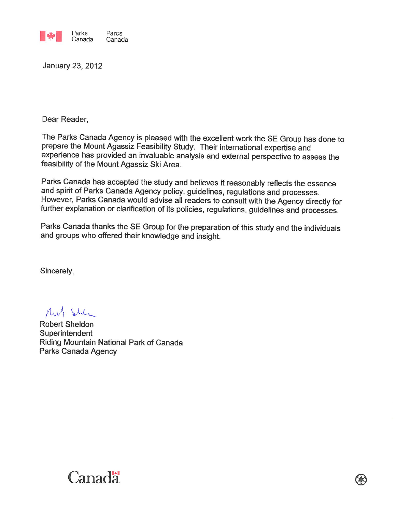

January 23, 2012

Dear Reader,

The Parks Canada Agency is pleased with the excellent work the SE Group has done to prepare the Mount Agassiz Feasibility Study. Their international expertise and experience has provided an invaluable analysis and external perspective to assess the feasibility of the Mount Agassiz Ski Area.

Parks Canada has accepted the study and believes it reasonably reflects the essence and spirit of Parks Canada Agency policy, guidelines, regulations and processes. However, Parks Canada would advise all readers to consult with the Agency directly for further explanation or clarification of its policies, regulations, guidelines and processes.

Parks Canada thanks the SE Group for the preparation of this study and the individuals and groups who offered their knowledge and insight.

QK.

Sincerely,

Mit Steh

Robert Sheldon Superintendent Riding Mountain National Park of Canada Parks Canada Agency

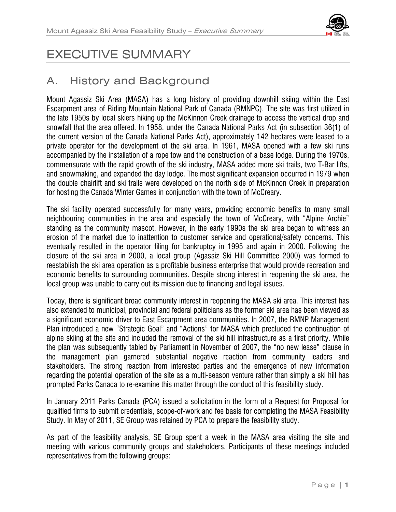

# EXECUTIVE SUMMARY

# A. History and Background

Mount Agassiz Ski Area (MASA) has a long history of providing downhill skiing within the East Escarpment area of Riding Mountain National Park of Canada (RMNPC). The site was first utilized in the late 1950s by local skiers hiking up the McKinnon Creek drainage to access the vertical drop and snowfall that the area offered. In 1958, under the Canada National Parks Act (in subsection 36(1) of the current version of the Canada National Parks Act), approximately 142 hectares were leased to a private operator for the development of the ski area. In 1961, MASA opened with a few ski runs accompanied by the installation of a rope tow and the construction of a base lodge. During the 1970s, commensurate with the rapid growth of the ski industry, MASA added more ski trails, two T-Bar lifts, and snowmaking, and expanded the day lodge. The most significant expansion occurred in 1979 when the double chairlift and ski trails were developed on the north side of McKinnon Creek in preparation for hosting the Canada Winter Games in conjunction with the town of McCreary.

The ski facility operated successfully for many years, providing economic benefits to many small neighbouring communities in the area and especially the town of McCreary, with "Alpine Archie" standing as the community mascot. However, in the early 1990s the ski area began to witness an erosion of the market due to inattention to customer service and operational/safety concerns. This eventually resulted in the operator filing for bankruptcy in 1995 and again in 2000. Following the closure of the ski area in 2000, a local group (Agassiz Ski Hill Committee 2000) was formed to reestablish the ski area operation as a profitable business enterprise that would provide recreation and economic benefits to surrounding communities. Despite strong interest in reopening the ski area, the local group was unable to carry out its mission due to financing and legal issues.

Today, there is significant broad community interest in reopening the MASA ski area. This interest has also extended to municipal, provincial and federal politicians as the former ski area has been viewed as a significant economic driver to East Escarpment area communities. In 2007, the RMNP Management Plan introduced a new "Strategic Goal" and "Actions" for MASA which precluded the continuation of alpine skiing at the site and included the removal of the ski hill infrastructure as a first priority. While the plan was subsequently tabled by Parliament in November of 2007, the "no new lease" clause in the management plan garnered substantial negative reaction from community leaders and stakeholders. The strong reaction from interested parties and the emergence of new information regarding the potential operation of the site as a multi-season venture rather than simply a ski hill has prompted Parks Canada to re-examine this matter through the conduct of this feasibility study.

In January 2011 Parks Canada (PCA) issued a solicitation in the form of a Request for Proposal for qualified firms to submit credentials, scope-of-work and fee basis for completing the MASA Feasibility Study. In May of 2011, SE Group was retained by PCA to prepare the feasibility study.

As part of the feasibility analysis, SE Group spent a week in the MASA area visiting the site and meeting with various community groups and stakeholders. Participants of these meetings included representatives from the following groups: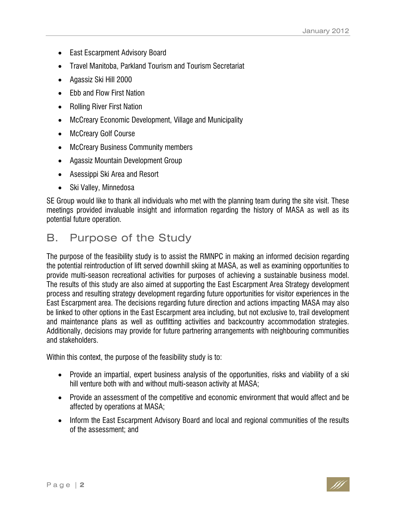- East Escarpment Advisory Board
- Travel Manitoba, Parkland Tourism and Tourism Secretariat
- Agassiz Ski Hill 2000
- Ebb and Flow First Nation
- Rolling River First Nation
- McCreary Economic Development, Village and Municipality
- McCreary Golf Course
- McCreary Business Community members
- Agassiz Mountain Development Group
- Asessippi Ski Area and Resort
- Ski Valley, Minnedosa

SE Group would like to thank all individuals who met with the planning team during the site visit. These meetings provided invaluable insight and information regarding the history of MASA as well as its potential future operation.

# B. Purpose of the Study

The purpose of the feasibility study is to assist the RMNPC in making an informed decision regarding the potential reintroduction of lift served downhill skiing at MASA, as well as examining opportunities to provide multi-season recreational activities for purposes of achieving a sustainable business model. The results of this study are also aimed at supporting the East Escarpment Area Strategy development process and resulting strategy development regarding future opportunities for visitor experiences in the East Escarpment area. The decisions regarding future direction and actions impacting MASA may also be linked to other options in the East Escarpment area including, but not exclusive to, trail development and maintenance plans as well as outfitting activities and backcountry accommodation strategies. Additionally, decisions may provide for future partnering arrangements with neighbouring communities and stakeholders.

Within this context, the purpose of the feasibility study is to:

- Provide an impartial, expert business analysis of the opportunities, risks and viability of a ski hill venture both with and without multi-season activity at MASA;
- Provide an assessment of the competitive and economic environment that would affect and be affected by operations at MASA;
- Inform the East Escarpment Advisory Board and local and regional communities of the results of the assessment; and

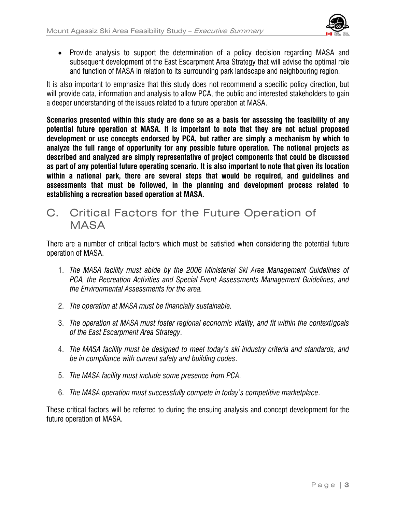

• Provide analysis to support the determination of a policy decision regarding MASA and subsequent development of the East Escarpment Area Strategy that will advise the optimal role and function of MASA in relation to its surrounding park landscape and neighbouring region.

It is also important to emphasize that this study does not recommend a specific policy direction, but will provide data, information and analysis to allow PCA, the public and interested stakeholders to gain a deeper understanding of the issues related to a future operation at MASA.

**Scenarios presented within this study are done so as a basis for assessing the feasibility of any potential future operation at MASA. It is important to note that they are not actual proposed development or use concepts endorsed by PCA, but rather are simply a mechanism by which to analyze the full range of opportunity for any possible future operation. The notional projects as described and analyzed are simply representative of project components that could be discussed as part of any potential future operating scenario. It is also important to note that given its location within a national park, there are several steps that would be required, and guidelines and assessments that must be followed, in the planning and development process related to establishing a recreation based operation at MASA.** 

C. Critical Factors for the Future Operation of **MASA** 

There are a number of critical factors which must be satisfied when considering the potential future operation of MASA.

- 1. *The MASA facility must abide by the 2006 Ministerial Ski Area Management Guidelines of PCA, the Recreation Activities and Special Event Assessments Management Guidelines, and the Environmental Assessments for the area.*
- 2. *The operation at MASA must be financially sustainable.*
- 3. *The operation at MASA must foster regional economic vitality, and fit within the context/goals of the East Escarpment Area Strategy*.
- 4. *The MASA facility must be designed to meet today's ski industry criteria and standards, and be in compliance with current safety and building codes*.
- 5. *The MASA facility must include some presence from PCA*.
- 6. *The MASA operation must successfully compete in today's competitive marketplace*.

These critical factors will be referred to during the ensuing analysis and concept development for the future operation of MASA.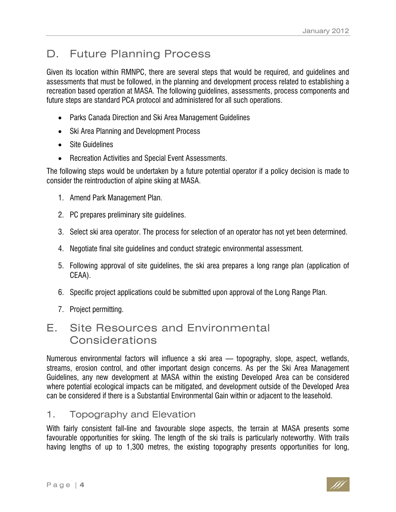# D. Future Planning Process

Given its location within RMNPC, there are several steps that would be required, and guidelines and assessments that must be followed, in the planning and development process related to establishing a recreation based operation at MASA. The following guidelines, assessments, process components and future steps are standard PCA protocol and administered for all such operations.

- Parks Canada Direction and Ski Area Management Guidelines
- Ski Area Planning and Development Process
- Site Guidelines
- Recreation Activities and Special Event Assessments.

The following steps would be undertaken by a future potential operator if a policy decision is made to consider the reintroduction of alpine skiing at MASA.

- 1. Amend Park Management Plan.
- 2. PC prepares preliminary site guidelines.
- 3. Select ski area operator. The process for selection of an operator has not yet been determined.
- 4. Negotiate final site guidelines and conduct strategic environmental assessment.
- 5. Following approval of site guidelines, the ski area prepares a long range plan (application of CEAA).
- 6. Specific project applications could be submitted upon approval of the Long Range Plan.
- 7. Project permitting.

# E. Site Resources and Environmental Considerations

Numerous environmental factors will influence a ski area — topography, slope, aspect, wetlands, streams, erosion control, and other important design concerns. As per the Ski Area Management Guidelines, any new development at MASA within the existing Developed Area can be considered where potential ecological impacts can be mitigated, and development outside of the Developed Area can be considered if there is a Substantial Environmental Gain within or adjacent to the leasehold.

#### 1. Topography and Elevation

With fairly consistent fall-line and favourable slope aspects, the terrain at MASA presents some favourable opportunities for skiing. The length of the ski trails is particularly noteworthy. With trails having lengths of up to 1,300 metres, the existing topography presents opportunities for long,

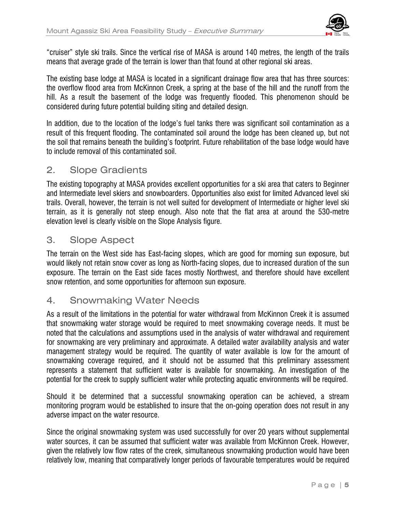

"cruiser" style ski trails. Since the vertical rise of MASA is around 140 metres, the length of the trails means that average grade of the terrain is lower than that found at other regional ski areas.

The existing base lodge at MASA is located in a significant drainage flow area that has three sources: the overflow flood area from McKinnon Creek, a spring at the base of the hill and the runoff from the hill. As a result the basement of the lodge was frequently flooded. This phenomenon should be considered during future potential building siting and detailed design.

In addition, due to the location of the lodge's fuel tanks there was significant soil contamination as a result of this frequent flooding. The contaminated soil around the lodge has been cleaned up, but not the soil that remains beneath the building's footprint. Future rehabilitation of the base lodge would have to include removal of this contaminated soil.

#### 2. Slope Gradients

The existing topography at MASA provides excellent opportunities for a ski area that caters to Beginner and Intermediate level skiers and snowboarders. Opportunities also exist for limited Advanced level ski trails. Overall, however, the terrain is not well suited for development of Intermediate or higher level ski terrain, as it is generally not steep enough. Also note that the flat area at around the 530-metre elevation level is clearly visible on the Slope Analysis figure.

#### 3. Slope Aspect

The terrain on the West side has East-facing slopes, which are good for morning sun exposure, but would likely not retain snow cover as long as North-facing slopes, due to increased duration of the sun exposure. The terrain on the East side faces mostly Northwest, and therefore should have excellent snow retention, and some opportunities for afternoon sun exposure.

#### 4. Snowmaking Water Needs

As a result of the limitations in the potential for water withdrawal from McKinnon Creek it is assumed that snowmaking water storage would be required to meet snowmaking coverage needs. It must be noted that the calculations and assumptions used in the analysis of water withdrawal and requirement for snowmaking are very preliminary and approximate. A detailed water availability analysis and water management strategy would be required. The quantity of water available is low for the amount of snowmaking coverage required, and it should not be assumed that this preliminary assessment represents a statement that sufficient water is available for snowmaking. An investigation of the potential for the creek to supply sufficient water while protecting aquatic environments will be required.

Should it be determined that a successful snowmaking operation can be achieved, a stream monitoring program would be established to insure that the on-going operation does not result in any adverse impact on the water resource.

Since the original snowmaking system was used successfully for over 20 years without supplemental water sources, it can be assumed that sufficient water was available from McKinnon Creek. However, given the relatively low flow rates of the creek, simultaneous snowmaking production would have been relatively low, meaning that comparatively longer periods of favourable temperatures would be required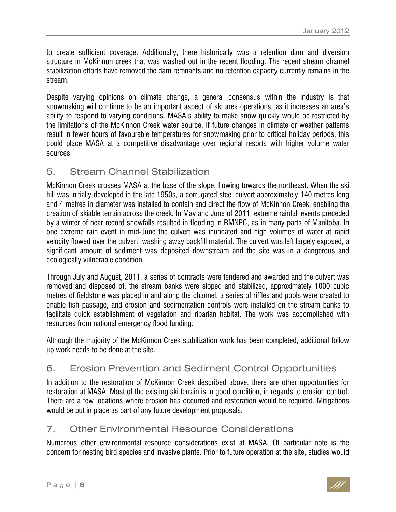to create sufficient coverage. Additionally, there historically was a retention dam and diversion structure in McKinnon creek that was washed out in the recent flooding. The recent stream channel stabilization efforts have removed the dam remnants and no retention capacity currently remains in the stream.

Despite varying opinions on climate change, a general consensus within the industry is that snowmaking will continue to be an important aspect of ski area operations, as it increases an area's ability to respond to varying conditions. MASA's ability to make snow quickly would be restricted by the limitations of the McKinnon Creek water source. If future changes in climate or weather patterns result in fewer hours of favourable temperatures for snowmaking prior to critical holiday periods, this could place MASA at a competitive disadvantage over regional resorts with higher volume water sources.

#### 5. Stream Channel Stabilization

McKinnon Creek crosses MASA at the base of the slope, flowing towards the northeast. When the ski hill was initially developed in the late 1950s, a corrugated steel culvert approximately 140 metres long and 4 metres in diameter was installed to contain and direct the flow of McKinnon Creek, enabling the creation of skiable terrain across the creek. In May and June of 2011, extreme rainfall events preceded by a winter of near record snowfalls resulted in flooding in RMNPC, as in many parts of Manitoba. In one extreme rain event in mid-June the culvert was inundated and high volumes of water at rapid velocity flowed over the culvert, washing away backfill material. The culvert was left largely exposed, a significant amount of sediment was deposited downstream and the site was in a dangerous and ecologically vulnerable condition.

Through July and August, 2011, a series of contracts were tendered and awarded and the culvert was removed and disposed of, the stream banks were sloped and stabilized, approximately 1000 cubic metres of fieldstone was placed in and along the channel, a series of riffles and pools were created to enable fish passage, and erosion and sedimentation controls were installed on the stream banks to facilitate quick establishment of vegetation and riparian habitat. The work was accomplished with resources from national emergency flood funding.

Although the majority of the McKinnon Creek stabilization work has been completed, additional follow up work needs to be done at the site.

### 6. Erosion Prevention and Sediment Control Opportunities

In addition to the restoration of McKinnon Creek described above, there are other opportunities for restoration at MASA. Most of the existing ski terrain is in good condition, in regards to erosion control. There are a few locations where erosion has occurred and restoration would be required. Mitigations would be put in place as part of any future development proposals.

#### 7. Other Environmental Resource Considerations

Numerous other environmental resource considerations exist at MASA. Of particular note is the concern for nesting bird species and invasive plants. Prior to future operation at the site, studies would

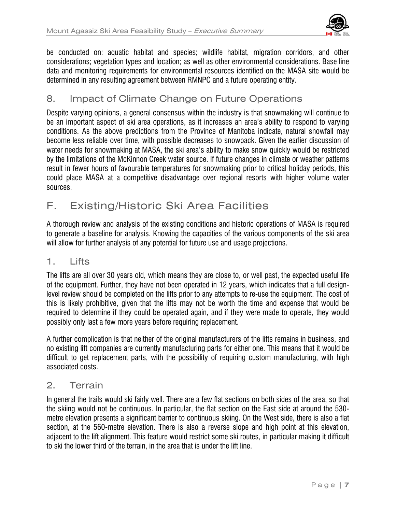

be conducted on: aquatic habitat and species; wildlife habitat, migration corridors, and other considerations; vegetation types and location; as well as other environmental considerations. Base line data and monitoring requirements for environmental resources identified on the MASA site would be determined in any resulting agreement between RMNPC and a future operating entity.

#### 8. Impact of Climate Change on Future Operations

Despite varying opinions, a general consensus within the industry is that snowmaking will continue to be an important aspect of ski area operations, as it increases an area's ability to respond to varying conditions. As the above predictions from the Province of Manitoba indicate, natural snowfall may become less reliable over time, with possible decreases to snowpack. Given the earlier discussion of water needs for snowmaking at MASA, the ski area's ability to make snow quickly would be restricted by the limitations of the McKinnon Creek water source. If future changes in climate or weather patterns result in fewer hours of favourable temperatures for snowmaking prior to critical holiday periods, this could place MASA at a competitive disadvantage over regional resorts with higher volume water sources.

# F. Existing/Historic Ski Area Facilities

A thorough review and analysis of the existing conditions and historic operations of MASA is required to generate a baseline for analysis. Knowing the capacities of the various components of the ski area will allow for further analysis of any potential for future use and usage projections.

#### 1. Lifts

The lifts are all over 30 years old, which means they are close to, or well past, the expected useful life of the equipment. Further, they have not been operated in 12 years, which indicates that a full designlevel review should be completed on the lifts prior to any attempts to re-use the equipment. The cost of this is likely prohibitive, given that the lifts may not be worth the time and expense that would be required to determine if they could be operated again, and if they were made to operate, they would possibly only last a few more years before requiring replacement.

A further complication is that neither of the original manufacturers of the lifts remains in business, and no existing lift companies are currently manufacturing parts for either one. This means that it would be difficult to get replacement parts, with the possibility of requiring custom manufacturing, with high associated costs.

#### 2. Terrain

In general the trails would ski fairly well. There are a few flat sections on both sides of the area, so that the skiing would not be continuous. In particular, the flat section on the East side at around the 530 metre elevation presents a significant barrier to continuous skiing. On the West side, there is also a flat section, at the 560-metre elevation. There is also a reverse slope and high point at this elevation, adjacent to the lift alignment. This feature would restrict some ski routes, in particular making it difficult to ski the lower third of the terrain, in the area that is under the lift line.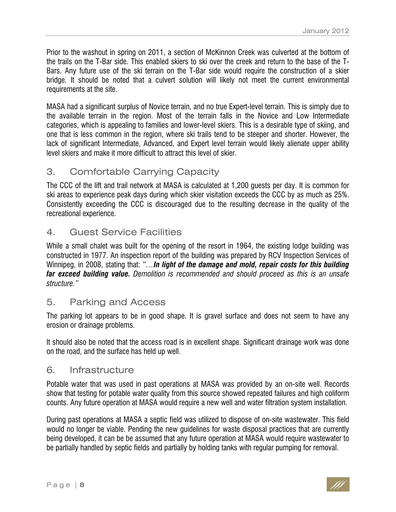Prior to the washout in spring on 2011, a section of McKinnon Creek was culverted at the bottom of the trails on the T-Bar side. This enabled skiers to ski over the creek and return to the base of the T-Bars. Any future use of the ski terrain on the T-Bar side would require the construction of a skier bridge. It should be noted that a culvert solution will likely not meet the current environmental requirements at the site.

MASA had a significant surplus of Novice terrain, and no true Expert-level terrain. This is simply due to the available terrain in the region. Most of the terrain falls in the Novice and Low Intermediate categories, which is appealing to families and lower-level skiers. This is a desirable type of skiing, and one that is less common in the region, where ski trails tend to be steeper and shorter. However, the lack of significant Intermediate, Advanced, and Expert level terrain would likely alienate upper ability level skiers and make it more difficult to attract this level of skier.

#### 3. Comfortable Carrying Capacity

The CCC of the lift and trail network at MASA is calculated at 1,200 guests per day. It is common for ski areas to experience peak days during which skier visitation exceeds the CCC by as much as 25%. Consistently exceeding the CCC is discouraged due to the resulting decrease in the quality of the recreational experience.

#### 4. Guest Service Facilities

While a small chalet was built for the opening of the resort in 1964, the existing lodge building was constructed in 1977. An inspection report of the building was prepared by RCV Inspection Services of Winnipeg, in 2008, stating that: *"…In light of the damage and mold, repair costs for this building far exceed building value. Demolition is recommended and should proceed as this is an unsafe structure."*

#### 5. Parking and Access

The parking lot appears to be in good shape. It is gravel surface and does not seem to have any erosion or drainage problems.

It should also be noted that the access road is in excellent shape. Significant drainage work was done on the road, and the surface has held up well.

#### 6. Infrastructure

Potable water that was used in past operations at MASA was provided by an on-site well. Records show that testing for potable water quality from this source showed repeated failures and high coliform counts. Any future operation at MASA would require a new well and water filtration system installation.

During past operations at MASA a septic field was utilized to dispose of on-site wastewater. This field would no longer be viable. Pending the new guidelines for waste disposal practices that are currently being developed, it can be be assumed that any future operation at MASA would require wastewater to be partially handled by septic fields and partially by holding tanks with regular pumping for removal.

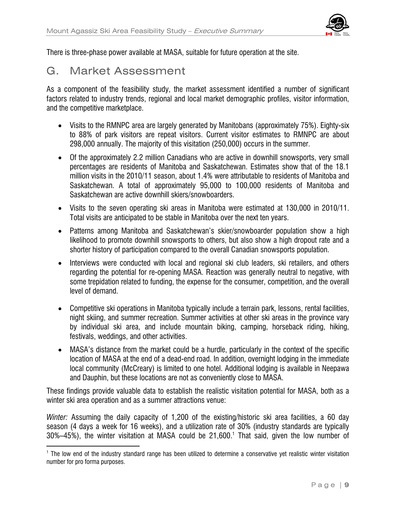

There is three-phase power available at MASA, suitable for future operation at the site.

### G. Market Assessment

-

As a component of the feasibility study, the market assessment identified a number of significant factors related to industry trends, regional and local market demographic profiles, visitor information, and the competitive marketplace.

- Visits to the RMNPC area are largely generated by Manitobans (approximately 75%). Eighty-six to 88% of park visitors are repeat visitors. Current visitor estimates to RMNPC are about 298,000 annually. The majority of this visitation (250,000) occurs in the summer.
- Of the approximately 2.2 million Canadians who are active in downhill snowsports, very small percentages are residents of Manitoba and Saskatchewan. Estimates show that of the 18.1 million visits in the 2010/11 season, about 1.4% were attributable to residents of Manitoba and Saskatchewan. A total of approximately 95,000 to 100,000 residents of Manitoba and Saskatchewan are active downhill skiers/snowboarders.
- Visits to the seven operating ski areas in Manitoba were estimated at 130,000 in 2010/11. Total visits are anticipated to be stable in Manitoba over the next ten years.
- Patterns among Manitoba and Saskatchewan's skier/snowboarder population show a high likelihood to promote downhill snowsports to others, but also show a high dropout rate and a shorter history of participation compared to the overall Canadian snowsports population.
- Interviews were conducted with local and regional ski club leaders, ski retailers, and others regarding the potential for re-opening MASA. Reaction was generally neutral to negative, with some trepidation related to funding, the expense for the consumer, competition, and the overall level of demand.
- Competitive ski operations in Manitoba typically include a terrain park, lessons, rental facilities, night skiing, and summer recreation. Summer activities at other ski areas in the province vary by individual ski area, and include mountain biking, camping, horseback riding, hiking, festivals, weddings, and other activities.
- MASA's distance from the market could be a hurdle, particularly in the context of the specific location of MASA at the end of a dead-end road. In addition, overnight lodging in the immediate local community (McCreary) is limited to one hotel. Additional lodging is available in Neepawa and Dauphin, but these locations are not as conveniently close to MASA.

These findings provide valuable data to establish the realistic visitation potential for MASA, both as a winter ski area operation and as a summer attractions venue:

*Winter:* Assuming the daily capacity of 1,200 of the existing/historic ski area facilities, a 60 day season (4 days a week for 16 weeks), and a utilization rate of 30% (industry standards are typically  $30\%$ –45%), the winter visitation at MASA could be 21,600.<sup>1</sup> That said, given the low number of

<sup>&</sup>lt;sup>1</sup> The low end of the industry standard range has been utilized to determine a conservative yet realistic winter visitation number for pro forma purposes.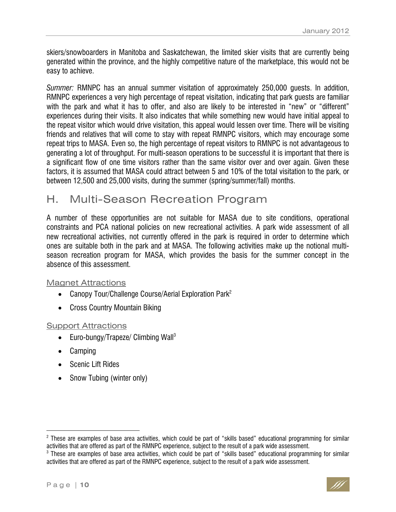skiers/snowboarders in Manitoba and Saskatchewan, the limited skier visits that are currently being generated within the province, and the highly competitive nature of the marketplace, this would not be easy to achieve.

*Summer:* RMNPC has an annual summer visitation of approximately 250,000 guests. In addition, RMNPC experiences a very high percentage of repeat visitation, indicating that park guests are familiar with the park and what it has to offer, and also are likely to be interested in "new" or "different" experiences during their visits. It also indicates that while something new would have initial appeal to the repeat visitor which would drive visitation, this appeal would lessen over time. There will be visiting friends and relatives that will come to stay with repeat RMNPC visitors, which may encourage some repeat trips to MASA. Even so, the high percentage of repeat visitors to RMNPC is not advantageous to generating a lot of throughput. For multi-season operations to be successful it is important that there is a significant flow of one time visitors rather than the same visitor over and over again. Given these factors, it is assumed that MASA could attract between 5 and 10% of the total visitation to the park, or between 12,500 and 25,000 visits, during the summer (spring/summer/fall) months.

# H. Multi-Season Recreation Program

A number of these opportunities are not suitable for MASA due to site conditions, operational constraints and PCA national policies on new recreational activities. A park wide assessment of all new recreational activities, not currently offered in the park is required in order to determine which ones are suitable both in the park and at MASA. The following activities make up the notional multiseason recreation program for MASA, which provides the basis for the summer concept in the absence of this assessment.

#### Magnet Attractions

- Canopy Tour/Challenge Course/Aerial Exploration Park<sup>2</sup>
- Cross Country Mountain Biking

#### **Support Attractions**

- Euro-bungy/Trapeze/ Climbing Wall<sup>3</sup>
- Camping
- Scenic Lift Rides
- Snow Tubing (winter only)

-



 $^2$  These are examples of base area activities, which could be part of "skills based" educational programming for similar activities that are offered as part of the RMNPC experience, subject to the result of a park wide assessment.

 $3$  These are examples of base area activities, which could be part of "skills based" educational programming for similar activities that are offered as part of the RMNPC experience, subject to the result of a park wide assessment.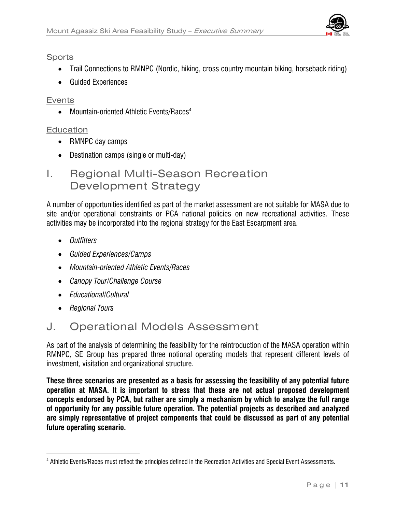

#### **Sports**

- Trail Connections to RMNPC (Nordic, hiking, cross country mountain biking, horseback riding)
- Guided Experiences

#### Events

• Mountain-oriented Athletic Events/Races<sup>4</sup>

#### **Education**

- RMNPC day camps
- Destination camps (single or multi-day)

# I. Regional Multi-Season Recreation Development Strategy

A number of opportunities identified as part of the market assessment are not suitable for MASA due to site and/or operational constraints or PCA national policies on new recreational activities. These activities may be incorporated into the regional strategy for the East Escarpment area.

- *Outfitters*
- *Guided Experiences/Camps*
- *Mountain-oriented Athletic Events/Races*
- *Canopy Tour/Challenge Course*
- *Educational/Cultural*
- *Regional Tours*

 $\overline{a}$ 

# J. Operational Models Assessment

As part of the analysis of determining the feasibility for the reintroduction of the MASA operation within RMNPC, SE Group has prepared three notional operating models that represent different levels of investment, visitation and organizational structure.

**These three scenarios are presented as a basis for assessing the feasibility of any potential future operation at MASA. It is important to stress that these are not actual proposed development concepts endorsed by PCA, but rather are simply a mechanism by which to analyze the full range of opportunity for any possible future operation. The potential projects as described and analyzed are simply representative of project components that could be discussed as part of any potential future operating scenario.** 

<sup>4</sup> Athletic Events/Races must reflect the principles defined in the Recreation Activities and Special Event Assessments.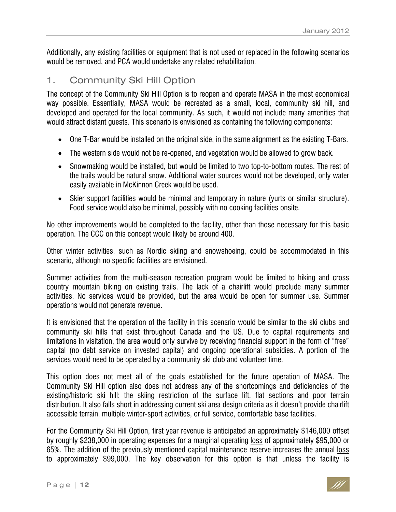Additionally, any existing facilities or equipment that is not used or replaced in the following scenarios would be removed, and PCA would undertake any related rehabilitation.

#### 1. Community Ski Hill Option

The concept of the Community Ski Hill Option is to reopen and operate MASA in the most economical way possible. Essentially, MASA would be recreated as a small, local, community ski hill, and developed and operated for the local community. As such, it would not include many amenities that would attract distant guests. This scenario is envisioned as containing the following components:

- One T-Bar would be installed on the original side, in the same alignment as the existing T-Bars.
- The western side would not be re-opened, and vegetation would be allowed to grow back.
- Snowmaking would be installed, but would be limited to two top-to-bottom routes. The rest of the trails would be natural snow. Additional water sources would not be developed, only water easily available in McKinnon Creek would be used.
- Skier support facilities would be minimal and temporary in nature (yurts or similar structure). Food service would also be minimal, possibly with no cooking facilities onsite.

No other improvements would be completed to the facility, other than those necessary for this basic operation. The CCC on this concept would likely be around 400.

Other winter activities, such as Nordic skiing and snowshoeing, could be accommodated in this scenario, although no specific facilities are envisioned.

Summer activities from the multi-season recreation program would be limited to hiking and cross country mountain biking on existing trails. The lack of a chairlift would preclude many summer activities. No services would be provided, but the area would be open for summer use. Summer operations would not generate revenue.

It is envisioned that the operation of the facility in this scenario would be similar to the ski clubs and community ski hills that exist throughout Canada and the US. Due to capital requirements and limitations in visitation, the area would only survive by receiving financial support in the form of "free" capital (no debt service on invested capital) and ongoing operational subsidies. A portion of the services would need to be operated by a community ski club and volunteer time.

This option does not meet all of the goals established for the future operation of MASA. The Community Ski Hill option also does not address any of the shortcomings and deficiencies of the existing/historic ski hill: the skiing restriction of the surface lift, flat sections and poor terrain distribution. It also falls short in addressing current ski area design criteria as it doesn't provide chairlift accessible terrain, multiple winter-sport activities, or full service, comfortable base facilities.

For the Community Ski Hill Option, first year revenue is anticipated an approximately \$146,000 offset by roughly \$238,000 in operating expenses for a marginal operating loss of approximately \$95,000 or 65%. The addition of the previously mentioned capital maintenance reserve increases the annual loss to approximately \$99,000. The key observation for this option is that unless the facility is

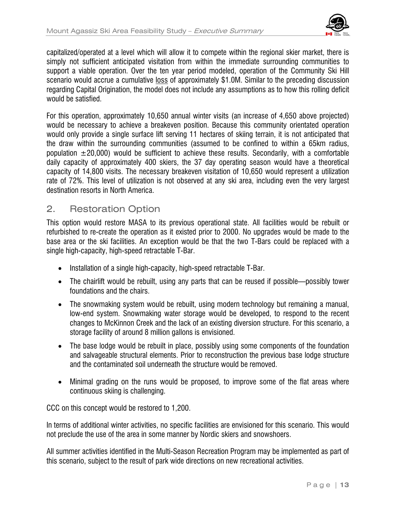

capitalized/operated at a level which will allow it to compete within the regional skier market, there is simply not sufficient anticipated visitation from within the immediate surrounding communities to support a viable operation. Over the ten year period modeled, operation of the Community Ski Hill scenario would accrue a cumulative loss of approximately \$1.0M. Similar to the preceding discussion regarding Capital Origination, the model does not include any assumptions as to how this rolling deficit would be satisfied.

For this operation, approximately 10,650 annual winter visits (an increase of 4,650 above projected) would be necessary to achieve a breakeven position. Because this community orientated operation would only provide a single surface lift serving 11 hectares of skiing terrain, it is not anticipated that the draw within the surrounding communities (assumed to be confined to within a 65km radius, population  $\pm 20,000$ ) would be sufficient to achieve these results. Secondarily, with a comfortable daily capacity of approximately 400 skiers, the 37 day operating season would have a theoretical capacity of 14,800 visits. The necessary breakeven visitation of 10,650 would represent a utilization rate of 72%. This level of utilization is not observed at any ski area, including even the very largest destination resorts in North America.

#### 2. Restoration Option

This option would restore MASA to its previous operational state. All facilities would be rebuilt or refurbished to re-create the operation as it existed prior to 2000. No upgrades would be made to the base area or the ski facilities. An exception would be that the two T-Bars could be replaced with a single high-capacity, high-speed retractable T-Bar.

- Installation of a single high-capacity, high-speed retractable T-Bar.
- The chairlift would be rebuilt, using any parts that can be reused if possible—possibly tower foundations and the chairs.
- The snowmaking system would be rebuilt, using modern technology but remaining a manual, low-end system. Snowmaking water storage would be developed, to respond to the recent changes to McKinnon Creek and the lack of an existing diversion structure. For this scenario, a storage facility of around 8 million gallons is envisioned.
- The base lodge would be rebuilt in place, possibly using some components of the foundation and salvageable structural elements. Prior to reconstruction the previous base lodge structure and the contaminated soil underneath the structure would be removed.
- Minimal grading on the runs would be proposed, to improve some of the flat areas where continuous skiing is challenging.

CCC on this concept would be restored to 1,200.

In terms of additional winter activities, no specific facilities are envisioned for this scenario. This would not preclude the use of the area in some manner by Nordic skiers and snowshoers.

All summer activities identified in the Multi-Season Recreation Program may be implemented as part of this scenario, subject to the result of park wide directions on new recreational activities.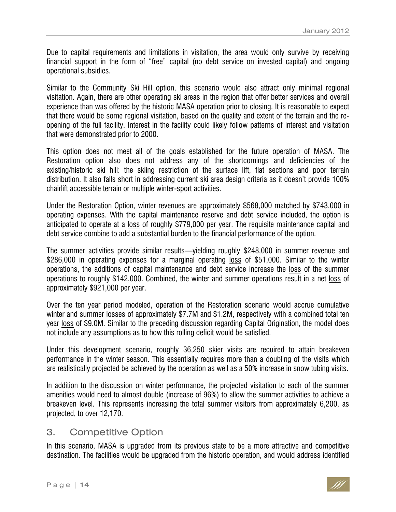Due to capital requirements and limitations in visitation, the area would only survive by receiving financial support in the form of "free" capital (no debt service on invested capital) and ongoing operational subsidies.

Similar to the Community Ski Hill option, this scenario would also attract only minimal regional visitation. Again, there are other operating ski areas in the region that offer better services and overall experience than was offered by the historic MASA operation prior to closing. It is reasonable to expect that there would be some regional visitation, based on the quality and extent of the terrain and the reopening of the full facility. Interest in the facility could likely follow patterns of interest and visitation that were demonstrated prior to 2000.

This option does not meet all of the goals established for the future operation of MASA. The Restoration option also does not address any of the shortcomings and deficiencies of the existing/historic ski hill: the skiing restriction of the surface lift, flat sections and poor terrain distribution. It also falls short in addressing current ski area design criteria as it doesn't provide 100% chairlift accessible terrain or multiple winter-sport activities.

Under the Restoration Option, winter revenues are approximately \$568,000 matched by \$743,000 in operating expenses. With the capital maintenance reserve and debt service included, the option is anticipated to operate at a loss of roughly \$779,000 per year. The requisite maintenance capital and debt service combine to add a substantial burden to the financial performance of the option.

The summer activities provide similar results—yielding roughly \$248,000 in summer revenue and \$286,000 in operating expenses for a marginal operating loss of \$51,000. Similar to the winter operations, the additions of capital maintenance and debt service increase the loss of the summer operations to roughly \$142,000. Combined, the winter and summer operations result in a net loss of approximately \$921,000 per year.

Over the ten year period modeled, operation of the Restoration scenario would accrue cumulative winter and summer losses of approximately \$7.7M and \$1.2M, respectively with a combined total ten year loss of \$9.0M. Similar to the preceding discussion regarding Capital Origination, the model does not include any assumptions as to how this rolling deficit would be satisfied.

Under this development scenario, roughly 36,250 skier visits are required to attain breakeven performance in the winter season. This essentially requires more than a doubling of the visits which are realistically projected be achieved by the operation as well as a 50% increase in snow tubing visits.

In addition to the discussion on winter performance, the projected visitation to each of the summer amenities would need to almost double (increase of 96%) to allow the summer activities to achieve a breakeven level. This represents increasing the total summer visitors from approximately 6,200, as projected, to over 12,170.

#### 3. Competitive Option

In this scenario, MASA is upgraded from its previous state to be a more attractive and competitive destination. The facilities would be upgraded from the historic operation, and would address identified

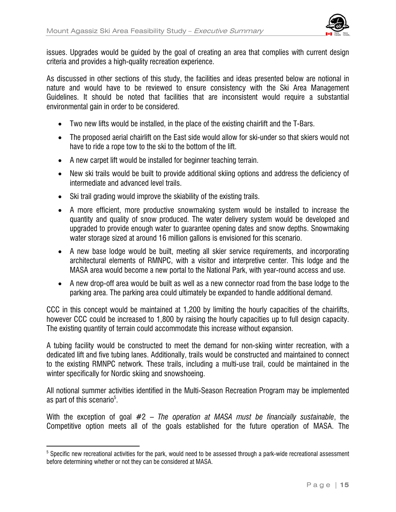

issues. Upgrades would be guided by the goal of creating an area that complies with current design criteria and provides a high-quality recreation experience.

As discussed in other sections of this study, the facilities and ideas presented below are notional in nature and would have to be reviewed to ensure consistency with the Ski Area Management Guidelines. It should be noted that facilities that are inconsistent would require a substantial environmental gain in order to be considered.

- Two new lifts would be installed, in the place of the existing chairlift and the T-Bars.
- The proposed aerial chairlift on the East side would allow for ski-under so that skiers would not have to ride a rope tow to the ski to the bottom of the lift.
- A new carpet lift would be installed for beginner teaching terrain.
- New ski trails would be built to provide additional skiing options and address the deficiency of intermediate and advanced level trails.
- Ski trail grading would improve the skiability of the existing trails.
- A more efficient, more productive snowmaking system would be installed to increase the quantity and quality of snow produced. The water delivery system would be developed and upgraded to provide enough water to guarantee opening dates and snow depths. Snowmaking water storage sized at around 16 million gallons is envisioned for this scenario.
- A new base lodge would be built, meeting all skier service requirements, and incorporating architectural elements of RMNPC, with a visitor and interpretive center. This lodge and the MASA area would become a new portal to the National Park, with year-round access and use.
- A new drop-off area would be built as well as a new connector road from the base lodge to the parking area. The parking area could ultimately be expanded to handle additional demand.

CCC in this concept would be maintained at 1,200 by limiting the hourly capacities of the chairlifts, however CCC could be increased to 1,800 by raising the hourly capacities up to full design capacity. The existing quantity of terrain could accommodate this increase without expansion.

A tubing facility would be constructed to meet the demand for non-skiing winter recreation, with a dedicated lift and five tubing lanes. Additionally, trails would be constructed and maintained to connect to the existing RMNPC network. These trails, including a multi-use trail, could be maintained in the winter specifically for Nordic skiing and snowshoeing.

All notional summer activities identified in the Multi-Season Recreation Program may be implemented as part of this scenario $^5$ .

With the exception of goal #2 – *The operation at MASA must be financially sustainable*, the Competitive option meets all of the goals established for the future operation of MASA. The

-

 $^5$  Specific new recreational activities for the park, would need to be assessed through a park-wide recreational assessment before determining whether or not they can be considered at MASA.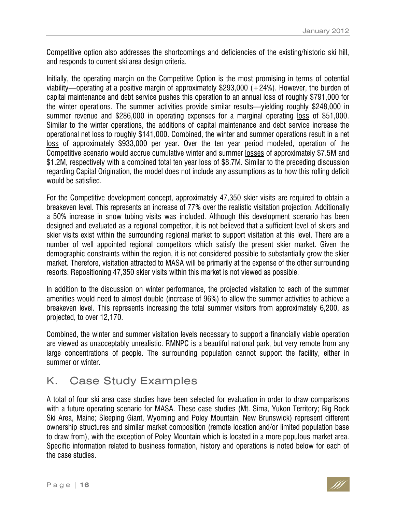Competitive option also addresses the shortcomings and deficiencies of the existing/historic ski hill, and responds to current ski area design criteria.

Initially, the operating margin on the Competitive Option is the most promising in terms of potential viability—operating at a positive margin of approximately \$293,000 (+24%). However, the burden of capital maintenance and debt service pushes this operation to an annual loss of roughly \$791,000 for the winter operations. The summer activities provide similar results—yielding roughly \$248,000 in summer revenue and \$286,000 in operating expenses for a marginal operating loss of \$51,000. Similar to the winter operations, the additions of capital maintenance and debt service increase the operational net loss to roughly \$141,000. Combined, the winter and summer operations result in a net loss of approximately \$933,000 per year. Over the ten year period modeled, operation of the Competitive scenario would accrue cumulative winter and summer losses of approximately \$7.5M and \$1.2M, respectively with a combined total ten year loss of \$8.7M. Similar to the preceding discussion regarding Capital Origination, the model does not include any assumptions as to how this rolling deficit would be satisfied.

For the Competitive development concept, approximately 47,350 skier visits are required to obtain a breakeven level. This represents an increase of 77% over the realistic visitation projection. Additionally a 50% increase in snow tubing visits was included. Although this development scenario has been designed and evaluated as a regional competitor, it is not believed that a sufficient level of skiers and skier visits exist within the surrounding regional market to support visitation at this level. There are a number of well appointed regional competitors which satisfy the present skier market. Given the demographic constraints within the region, it is not considered possible to substantially grow the skier market. Therefore, visitation attracted to MASA will be primarily at the expense of the other surrounding resorts. Repositioning 47,350 skier visits within this market is not viewed as possible.

In addition to the discussion on winter performance, the projected visitation to each of the summer amenities would need to almost double (increase of 96%) to allow the summer activities to achieve a breakeven level. This represents increasing the total summer visitors from approximately 6,200, as projected, to over 12,170.

Combined, the winter and summer visitation levels necessary to support a financially viable operation are viewed as unacceptably unrealistic. RMNPC is a beautiful national park, but very remote from any large concentrations of people. The surrounding population cannot support the facility, either in summer or winter.

# K. Case Study Examples

A total of four ski area case studies have been selected for evaluation in order to draw comparisons with a future operating scenario for MASA. These case studies (Mt. Sima, Yukon Territory; Big Rock Ski Area, Maine; Sleeping Giant, Wyoming and Poley Mountain, New Brunswick) represent different ownership structures and similar market composition (remote location and/or limited population base to draw from), with the exception of Poley Mountain which is located in a more populous market area. Specific information related to business formation, history and operations is noted below for each of the case studies.

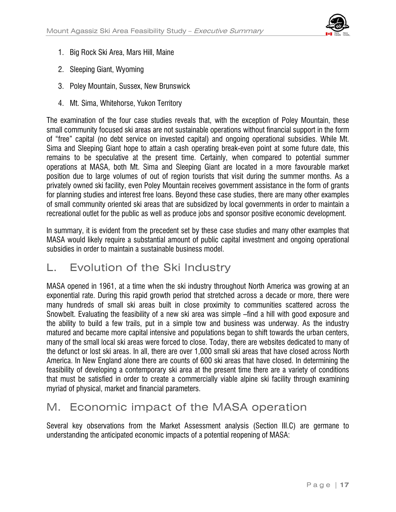

- 1. Big Rock Ski Area, Mars Hill, Maine
- 2. Sleeping Giant, Wyoming
- 3. Poley Mountain, Sussex, New Brunswick
- 4. Mt. Sima, Whitehorse, Yukon Territory

The examination of the four case studies reveals that, with the exception of Poley Mountain, these small community focused ski areas are not sustainable operations without financial support in the form of "free" capital (no debt service on invested capital) and ongoing operational subsidies. While Mt. Sima and Sleeping Giant hope to attain a cash operating break-even point at some future date, this remains to be speculative at the present time. Certainly, when compared to potential summer operations at MASA, both Mt. Sima and Sleeping Giant are located in a more favourable market position due to large volumes of out of region tourists that visit during the summer months. As a privately owned ski facility, even Poley Mountain receives government assistance in the form of grants for planning studies and interest free loans. Beyond these case studies, there are many other examples of small community oriented ski areas that are subsidized by local governments in order to maintain a recreational outlet for the public as well as produce jobs and sponsor positive economic development.

In summary, it is evident from the precedent set by these case studies and many other examples that MASA would likely require a substantial amount of public capital investment and ongoing operational subsidies in order to maintain a sustainable business model.

## L. Evolution of the Ski Industry

MASA opened in 1961, at a time when the ski industry throughout North America was growing at an exponential rate. During this rapid growth period that stretched across a decade or more, there were many hundreds of small ski areas built in close proximity to communities scattered across the Snowbelt. Evaluating the feasibility of a new ski area was simple –find a hill with good exposure and the ability to build a few trails, put in a simple tow and business was underway. As the industry matured and became more capital intensive and populations began to shift towards the urban centers, many of the small local ski areas were forced to close. Today, there are websites dedicated to many of the defunct or lost ski areas. In all, there are over 1,000 small ski areas that have closed across North America. In New England alone there are counts of 600 ski areas that have closed. In determining the feasibility of developing a contemporary ski area at the present time there are a variety of conditions that must be satisfied in order to create a commercially viable alpine ski facility through examining myriad of physical, market and financial parameters.

## M. Economic impact of the MASA operation

Several key observations from the Market Assessment analysis (Section III.C) are germane to understanding the anticipated economic impacts of a potential reopening of MASA: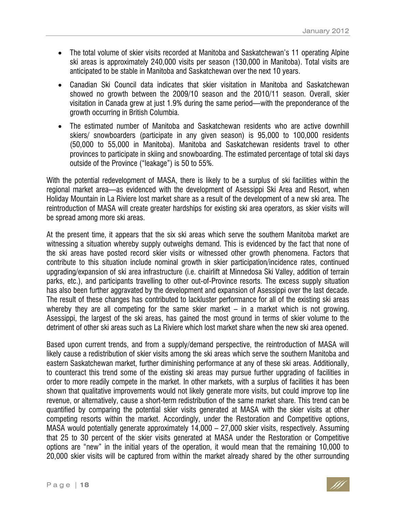- The total volume of skier visits recorded at Manitoba and Saskatchewan's 11 operating Alpine ski areas is approximately 240,000 visits per season (130,000 in Manitoba). Total visits are anticipated to be stable in Manitoba and Saskatchewan over the next 10 years.
- Canadian Ski Council data indicates that skier visitation in Manitoba and Saskatchewan showed no growth between the 2009/10 season and the 2010/11 season. Overall, skier visitation in Canada grew at just 1.9% during the same period—with the preponderance of the growth occurring in British Columbia.
- The estimated number of Manitoba and Saskatchewan residents who are active downhill skiers/ snowboarders (participate in any given season) is 95,000 to 100,000 residents (50,000 to 55,000 in Manitoba). Manitoba and Saskatchewan residents travel to other provinces to participate in skiing and snowboarding. The estimated percentage of total ski days outside of the Province ("leakage") is 50 to 55%.

With the potential redevelopment of MASA, there is likely to be a surplus of ski facilities within the regional market area—as evidenced with the development of Asessippi Ski Area and Resort, when Holiday Mountain in La Riviere lost market share as a result of the development of a new ski area. The reintroduction of MASA will create greater hardships for existing ski area operators, as skier visits will be spread among more ski areas.

At the present time, it appears that the six ski areas which serve the southern Manitoba market are witnessing a situation whereby supply outweighs demand. This is evidenced by the fact that none of the ski areas have posted record skier visits or witnessed other growth phenomena. Factors that contribute to this situation include nominal growth in skier participation/incidence rates, continued upgrading/expansion of ski area infrastructure (i.e. chairlift at Minnedosa Ski Valley, addition of terrain parks, etc.), and participants travelling to other out-of-Province resorts. The excess supply situation has also been further aggravated by the development and expansion of Asessippi over the last decade. The result of these changes has contributed to lackluster performance for all of the existing ski areas whereby they are all competing for the same skier market  $-$  in a market which is not growing. Asessippi, the largest of the ski areas, has gained the most ground in terms of skier volume to the detriment of other ski areas such as La Riviere which lost market share when the new ski area opened.

Based upon current trends, and from a supply/demand perspective, the reintroduction of MASA will likely cause a redistribution of skier visits among the ski areas which serve the southern Manitoba and eastern Saskatchewan market, further diminishing performance at any of these ski areas. Additionally, to counteract this trend some of the existing ski areas may pursue further upgrading of facilities in order to more readily compete in the market. In other markets, with a surplus of facilities it has been shown that qualitative improvements would not likely generate more visits, but could improve top line revenue, or alternatively, cause a short-term redistribution of the same market share. This trend can be quantified by comparing the potential skier visits generated at MASA with the skier visits at other competing resorts within the market. Accordingly, under the Restoration and Competitive options, MASA would potentially generate approximately 14,000 – 27,000 skier visits, respectively. Assuming that 25 to 30 percent of the skier visits generated at MASA under the Restoration or Competitive options are "new" in the initial years of the operation, it would mean that the remaining 10,000 to 20,000 skier visits will be captured from within the market already shared by the other surrounding